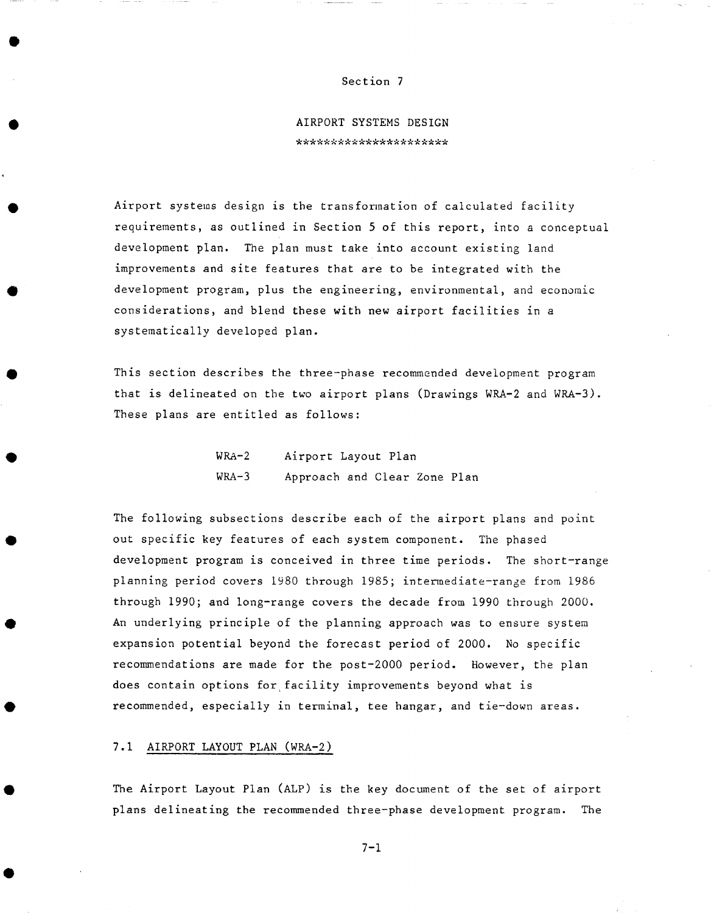#### Section 7

**AIRPORT SYSTEMS DESIGN**  \*\*\*\*\*\*\*\*\*\*\*\*\*\*\*\*\*\*\*\*\*\*

Airport systems design is the transformation of calculated facility requirements, as outlined in Section 5 of this report, into a conceptual development plan. The plan must take into account existing land improvements and site features that are to be integrated with the development program, plus the engineering, environmental, and economic considerations, and blend these with new airport facilities in a systematically developed plan.

This section describes the three-phase recommended development program that is delineated on the two airport plans (Drawings WRA-2 and WRA-3). These plans are entitled as follows:

| $WRA-2$ | Airport Layout Plan          |  |  |
|---------|------------------------------|--|--|
| $WRA-3$ | Approach and Clear Zone Plan |  |  |

The following subsections describe each of the airport plans and point out specific key features of each system component. The phased development program is conceived in three time periods. The short-range planning period covers 1980 through 1985; intermediate-range from 1986 through 1990; and long-range covers the decade from 1990 through 2000. An underlying principle of the planning approach was to ensure system expansion potential beyond the forecast period of 2000. No specific recommendations are made for the post-2000 period. However, the plan does contain options for facility improvements beyond what is recommended, especially in terminal, tee hangar, and tie-down areas.

## 7.1 AIRPORT LAYOUT PLAN (WRA-2)

The Airport Layout Plan (ALP) is the key document of the set of airport plans delineating the recommended three-phase development program. The

7-1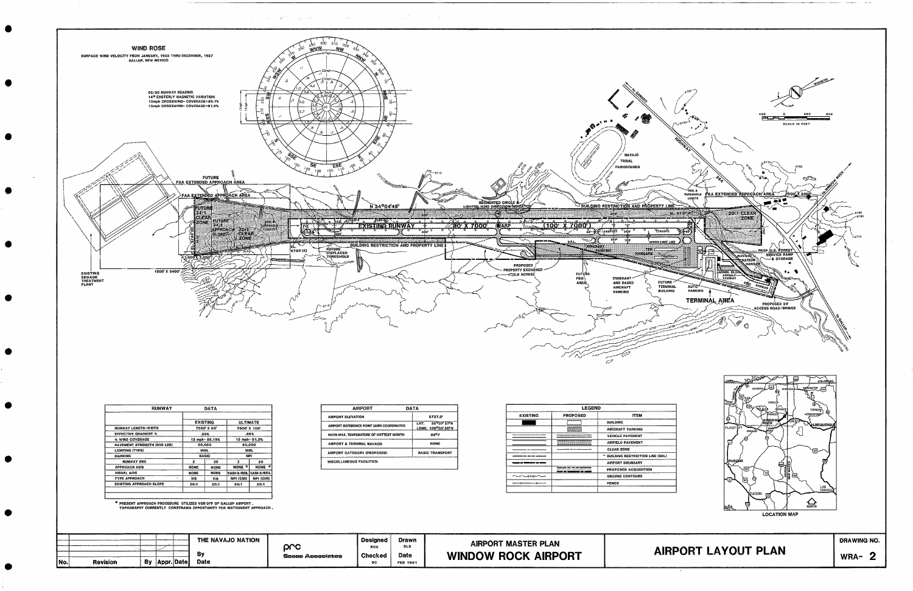

signal control and com-

그렇게 그렇게 식사 사람은 일어나 그 그 사람들이 없다.

| <b>RUNWAY</b>                      | DATA            |             |                         |                       |  |
|------------------------------------|-----------------|-------------|-------------------------|-----------------------|--|
|                                    | <b>EXISTING</b> |             | <b>ULTIMATE</b>         |                       |  |
| <b>RUNWAY LENGTH/WIDTH</b>         | 7000' X 80'     |             | 7000 X 100 <sup>1</sup> |                       |  |
| <b>EFFECTIVE GRADIENT %</b>        | .58%            |             | .58%                    |                       |  |
| % WIND COVERAGE                    | 12 mph-86.19%   |             | 15 mph- 91.0%           |                       |  |
| <b>PAVEMENT STRENGTH (000 LBS)</b> | 30,000          |             | 60,000                  |                       |  |
| LIGHTING (TYPE)                    | <b>MIRL</b>     |             | MIRL                    |                       |  |
| <b>MARKING</b>                     | <b>BASIC</b>    |             | <b>NPI</b>              |                       |  |
| <b>RUNWAY END</b>                  | 2               | 20          | ۰                       | 20                    |  |
| <b>APPROACH AIDS</b>               | <b>NONE</b>     | <b>NONE</b> | $\ast$<br><b>NONE</b>   | $\frac{1}{2}$<br>NONE |  |
| <b>VISUAL AIDS</b>                 | <b>NONE</b>     | <b>NONE</b> | VASI-2/REIL             | VASI-2/REIL           |  |
| <b>TYPE APPROACH</b>               | VIS             | <b>VIS</b>  | NPI (CIR)               | NPI (CIR)             |  |
| <b>EXISTING APPROACH SLOPE</b>     | 20:1            | 20:1        | 34:1                    | 20:1                  |  |

 $\bullet$ 

 $\bullet$ 

 $\bullet$ 

 $\bullet$ 

 $\bullet$ 

 $\bullet$ 

 $\bullet$ 

| <b>AIRPORT</b>                            | DATA                                                  |  |  |
|-------------------------------------------|-------------------------------------------------------|--|--|
| <b>AIRPORT ELEVATION</b>                  | 6737.0                                                |  |  |
| AIRPORT REFERENCE POINT (ARP) COORDINATES | 35°37'37"N<br>LAT.<br>LONG. 109 <sup>0</sup> 03' 58"W |  |  |
| MEAN MAX. TEMPERATURE OF HOTTEST MONTH    | 86°F                                                  |  |  |
| AIRPORT & TERMINAL NAVAIDS                | <b>NONE</b>                                           |  |  |
| <b>AIRPORT CATEGORY (PROPOSED)</b>        | <b>BASIC TRANSPORT</b>                                |  |  |
| <b>MISCELLANEOUS FACILITIES:</b>          |                                                       |  |  |

| <b>LEGEND</b>    |                                          |                                   |  |  |  |
|------------------|------------------------------------------|-----------------------------------|--|--|--|
| <b>EXISTING</b>  | <b>PROPOSED</b>                          | <b>ITEM</b>                       |  |  |  |
|                  |                                          | <b>BUILDING</b>                   |  |  |  |
|                  |                                          | <b>AIRCRAFT PARKING</b>           |  |  |  |
|                  | also de considerar a control de Santo de | <b>VEHICLE PAVEMENT</b>           |  |  |  |
|                  | ,,,,,,,,,,,,,,,,,,,,,,,,                 | <b>AIRFIELD PAVEMENT</b>          |  |  |  |
|                  |                                          | <b>CLEAR ZONE</b>                 |  |  |  |
|                  |                                          | ~ BUILDING RESTRICTION LINE (BRL) |  |  |  |
| منضمة مبة مباشري |                                          | <b>AIRPORT BOUNDARY</b>           |  |  |  |
|                  | <u> III. a artistorista</u>              | <b>PROPOSED ACQUISITION</b>       |  |  |  |
|                  |                                          | <b>GROUND CONTOURS</b>            |  |  |  |
|                  |                                          | <b>FENCE</b>                      |  |  |  |
|                  |                                          |                                   |  |  |  |

|      |                                           | THE NAVAJO NATION | prc              | <b>Designed</b><br>ROK | <b>Drawn</b><br><b>SLS</b> | <b>AIRPORT MASTER PLAN</b> |             |
|------|-------------------------------------------|-------------------|------------------|------------------------|----------------------------|----------------------------|-------------|
| INo. | <b>Revision</b><br><b>Appr.Date</b><br>Bv | B٧<br>Date        | Socas Associates | <b>Checked</b><br>BC   | Date<br><b>FEB 1981</b>    | <b>WINDOW ROCK AIRPORT</b> | <b>AIRF</b> |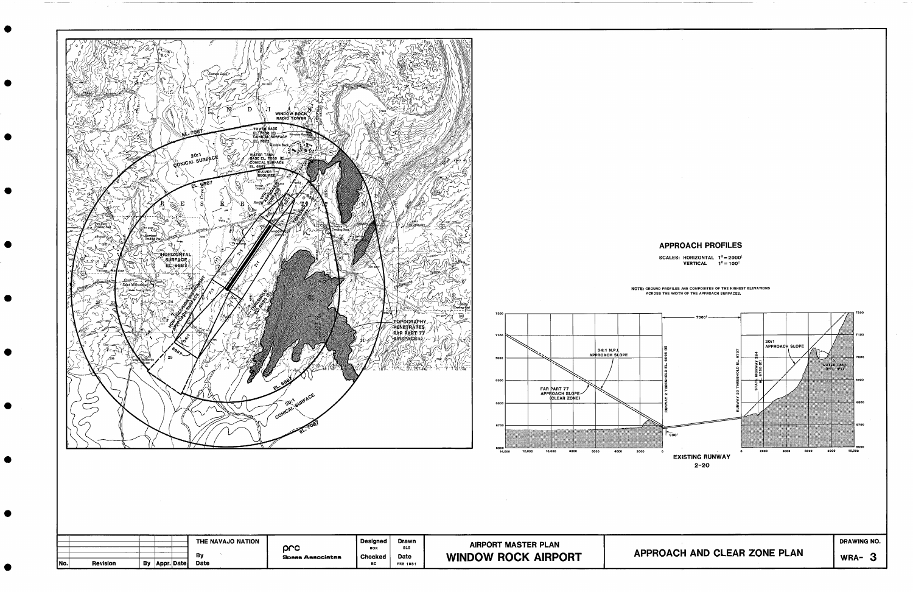

 $\bullet$ 

 $\bullet$ 

 $\bullet$ 

 $\bullet$ 

 $\bullet$ 

 $\bullet$ 

 $\bullet$ 

 $\bullet$ 

 $\bullet$ 

●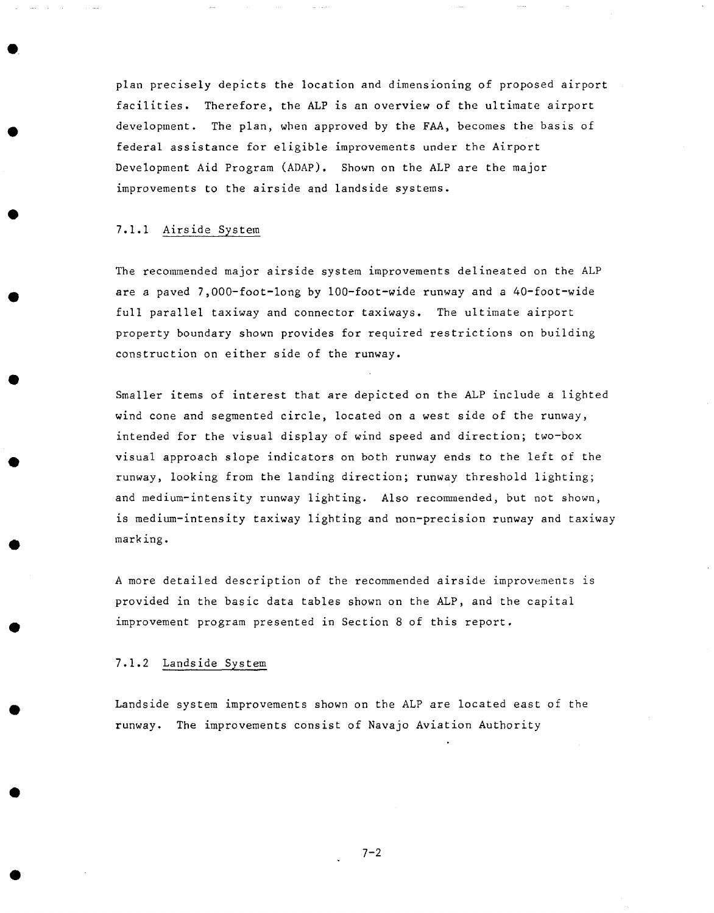plan precisely depicts the location and dimensioning of proposed airport facilities. Therefore, the ALP is an overview of the ultimate airport development. The plan, wben approved by the FAA, becomes the basis of federal assistance for eligible improvements under the Airport Development Aid Program (ADAP). Shown on the ALP are the major improvements to the airside and landside systems.

# 7.1.1 Airside System

The recommended major airside system improvements delineated on the ALP are a paved 7,000-foot-long by 100-foot-wide runway and a 40-foot-wide full parallel taxiway and connector taxiways. The ultimate airport property boundary shown provides for required restrictions on building construction on either side of the runway.

Smaller items of interest that are depicted on the ALP include a lighted wind cone and segmented circle, located on a west side of the runway, intended for the visual display of wind speed and direction; two-box visual approach slope indicators on both runway ends to the left of the runway, looking from the landing direction; runway threshold lighting; and medium-intensity runway lighting. Also recommended, but not shown, is medium-intensity taxiway ligbting and non-precision runway and taxiway marking.

A more detailed description of the recommended airside improvements is provided in the basic data tables shown on the ALP, and the capital improvement program presented in Section 8 of this report.

### 7.1.2 Landside System

Landside system improvements shown on the ALP are located east of the runway. The improvements consist of Navajo Aviation Authority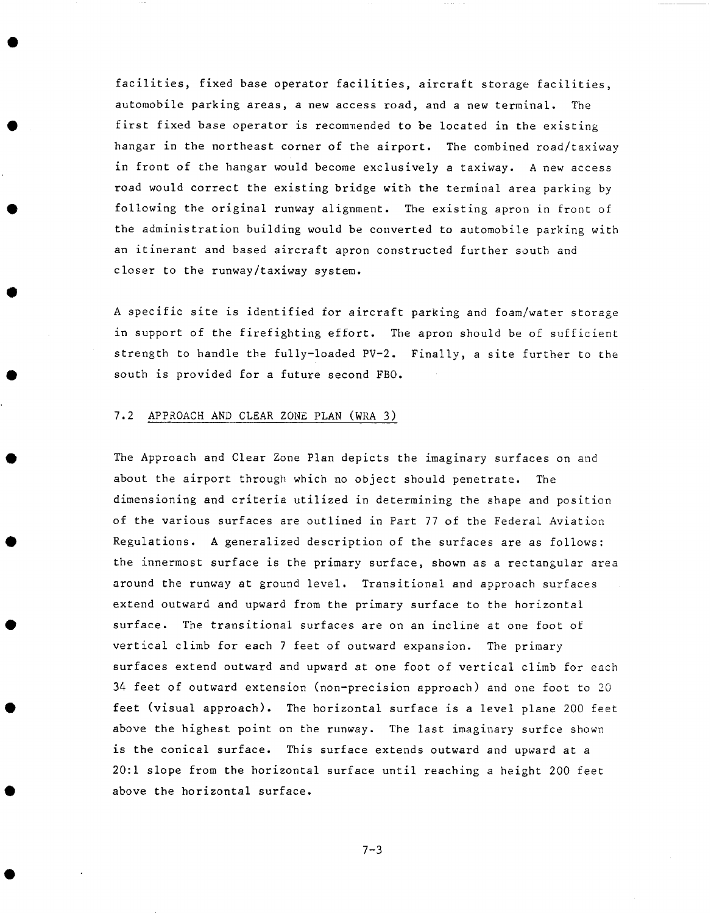facilities, fixed base operator facilities, aircraft storage facilities, automobile parking areas, a new access road, and a new terminal. The first fixed base operator is recommended to be located in the existing hangar in the northeast corner of the airport. The combined road/taxiway in front of the hangar would become exclusively a taxiway. A new access road would correct the existing bridge with the terminal area parking by following the original runway alignment. The existing apron in front of the administration building would be converted to automobile parking with an itinerant and based aircraft apron constructed further south and closer to the runway/taxiway system.

A specific site is identified for aircraft parking and foam/water storage in support of the firefighting effort. The apron should be of sufficient strength to handle the fully-loaded PV-2. Finally, a site further to the south is provided for a future second FBO.

### 7.2 APPROACH AND CLEAR ZONE PLAN (WRA 3)

The Approach and Clear Zone Plan depicts the imaginary surfaces on and about the airport through which no object should penetrate. The dimensioning and criteria utilized in determining the shape and position of the various surfaces are outlined in Part 77 of the Federal Aviation Regulations. A generalized description of the surfaces are as follows: the innermost surface is the primary surface, shown as a rectangular area around the runway at ground level. Transitional and approach surfaces extend outward and upward from the primary surface to the horizontal surface. The transitional surfaces are on an incline at one foot of vertical climb for each 7 feet of outward expansion. The primary surfaces extend outward and upward at one foot of vertical climb for each 34 feet of outward extension (non-precision approach) and one foot to 20 feet (visual approach). The horizontal surface is a level plane 200 feet above the highest point on the runway. The last imaginary surfce shown is the conical surface. This surface extends outward and upward at a 20:1 slope from the horizontal surface until reaching a height 200 feet above the horizontal surface.

 $7 - 3$